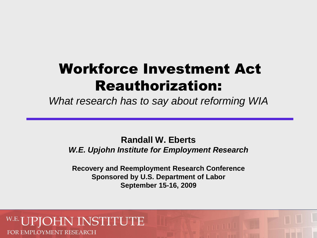# Workforce Investment Act Reauthorization:

*What research has to say about reforming WIA*

#### **Randall W. Eberts**  *W.E. Upjohn Institute for Employment Research*

**Recovery and Reemployment Research Conference Sponsored by U.S. Department of Labor September 15-16, 2009**

#### NSTITUTE FOR EMPLOYMENT RESEARCH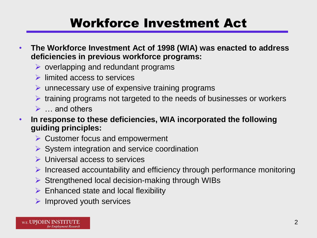### Workforce Investment Act

- • **The Workforce Investment Act of 1998 (WIA) was enacted to address deficiencies in previous workforce programs:** 
	- $\triangleright$  overlapping and redundant programs
	- $\triangleright$  limited access to services
	- $\triangleright$  unnecessary use of expensive training programs
	- $\triangleright$  training programs not targeted to the needs of businesses or workers
	- $\triangleright$   $\ldots$  and others
- In response to these deficiencies, WIA incorporated the following **guiding principles:** 
	- $\triangleright$  Customer focus and empowerment
	- $\triangleright$  System integration and service coordination
	- **▶ Universal access to services**
	- $\triangleright$  Increased accountability and efficiency through performance monitoring
	- $\triangleright$  Strengthened local decision-making through WIBs
	- $\triangleright$  Enhanced state and local flexibility
	- $\triangleright$  Improved youth services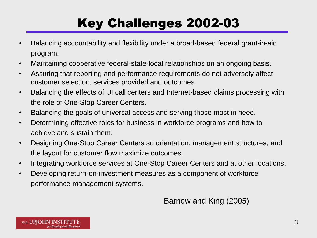# Key Challenges 2002-03

- Balancing accountability and flexibility under a broad-based federal grant-in-aid program.
- Maintaining cooperative federal-state-local relationships on an ongoing basis.
- Assuring that reporting and performance requirements do not adversely affect customer selection, services provided and outcomes.
- Balancing the effects of UI call centers and Internet-based claims processing with the role of One-Stop Career Centers.
- • Balancing the goals of universal access and serving those most in need.
- Determining effective roles for business in workforce programs and how to achieve and sustain them.
- Designing One-Stop Career Centers so orientation, management structures, and the layout for customer flow maximize outcomes.
- Integrating workforce services at One-Stop Career Centers and at other locations.
- Developing return-on-investment measures as a component of workforce performance management systems.

Barnow and King (2005)

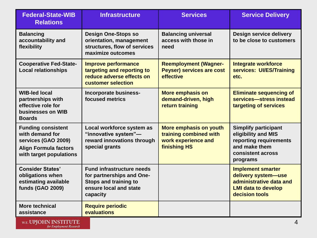| <b>Federal-State-WIB</b><br><b>Relations</b>                                                                                   | <b>Infrastructure</b>                                                                                                        | <b>Services</b>                                                                                | <b>Service Delivery</b>                                                                                                        |
|--------------------------------------------------------------------------------------------------------------------------------|------------------------------------------------------------------------------------------------------------------------------|------------------------------------------------------------------------------------------------|--------------------------------------------------------------------------------------------------------------------------------|
| <b>Balancing</b><br>accountability and<br>flexibility                                                                          | <b>Design One-Stops so</b><br>orientation, management<br>structures, flow of services<br>maximize outcomes                   | <b>Balancing universal</b><br>access with those in<br>need                                     | <b>Design service delivery</b><br>to be close to customers                                                                     |
| <b>Cooperative Fed-State-</b><br><b>Local relationships</b>                                                                    | <b>Improve performance</b><br>targeting and reporting to<br>reduce adverse effects on<br>customer selection                  | <b>Reemployment (Wagner-</b><br><b>Peyser) services are cost</b><br>effective                  | <b>Integrate workforce</b><br>services: UI/ES/Training<br>etc.                                                                 |
| <b>WIB-led local</b><br>partnerships with<br>effective role for<br>businesses on WIB<br><b>Boards</b>                          | Incorporate business-<br>focused metrics                                                                                     | <b>More emphasis on</b><br>demand-driven, high<br>return training                              | <b>Eliminate sequencing of</b><br>services-stress instead<br>targeting of services                                             |
| <b>Funding consistent</b><br>with demand for<br>services (GAO 2009)<br><b>Align Formula factors</b><br>with target populations | Local workforce system as<br>"innovative system"-<br>reward innovations through<br>special grants                            | More emphasis on youth<br>training combined with<br>work experience and<br><b>finishing HS</b> | <b>Simplify participant</b><br>eligibility and MIS<br>reporting requirements<br>and make them<br>consistent across<br>programs |
| <b>Consider States'</b><br>obligations when<br>estimating available<br><b>funds (GAO 2009)</b>                                 | <b>Fund infrastructure needs</b><br>for partnerships and One-<br>Stops and training to<br>ensure local and state<br>capacity |                                                                                                | <b>Implement smarter</b><br>delivery system-use<br>administrative data and<br><b>LMI data to develop</b><br>decision tools     |
| <b>More technical</b><br>assistance                                                                                            | <b>Require periodic</b><br>evaluations                                                                                       |                                                                                                |                                                                                                                                |

W.E. UPJOHN INSTITUTE for Employment Research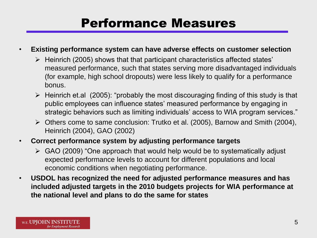#### Performance Measures

#### **Existing performance system can have adverse effects on customer selection**

- $\triangleright$  Heinrich (2005) shows that that participant characteristics affected states' measured performance, such that states serving more disadvantaged individuals (for example, high school dropouts) were less likely to qualify for a performance bonus.
- public employees can influence states' measured performance by engaging in  $\triangleright$  Heinrich et.al (2005): "probably the most discouraging finding of this study is that strategic behaviors such as limiting individuals' access to WIA program services."
- Others come to same conclusion: Trutko et al. (2005), Barnow and Smith (2004), Heinrich (2004), GAO (2002)
- • **Correct performance system by adjusting performance targets** 
	- GAO (2009) "One approach that would help would be to systematically adjust expected performance levels to account for different populations and local economic conditions when negotiating performance.
- **included adjusted targets in the 2010 budgets projects for WIA performance at the national level and plans to do the same for states**  • **USDOL has recognized the need for adjusted performance measures and has**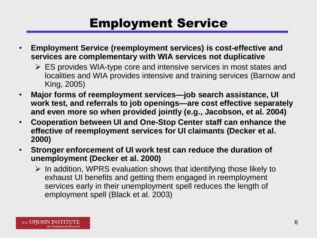### Employment Service

- **services are complementary with WIA services not duplicative**  • **Employment Service (reemployment services) is cost-effective and** 
	- $\triangleright$  ES provides WIA-type core and intensive services in most states and localities and WIA provides intensive and training services (Barnow and King, 2005)
- **work test, and referrals to job openings—are cost effective separately and even more so when provided jointly (e.g., Jacobson, et al. 2004)**  • **Major forms of reemployment services—job search assistance, UI**
- • **Cooperation between UI and One-Stop Center staff can enhance the effective of reemployment services for UI claimants (Decker et al. 2000)**
- **unemployment (Decker et al. 2000)**  • **Stronger enforcement of UI work test can reduce the duration of** 
	- services early in their unemployment spell reduces the length of  $\triangleright$  In addition, WPRS evaluation shows that identifying those likely to exhaust UI benefits and getting them engaged in reemployment employment spell (Black et al. 2003)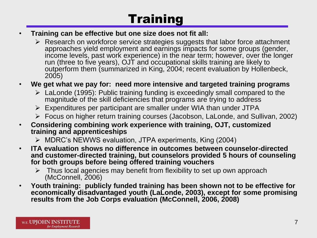## **Training**

- • **Training can be effective but one size does not fit all:** 
	- run (three to five years), OJT and occupational skills training are likely to  $\triangleright$  Research on workforce service strategies suggests that labor force attachment approaches yield employment and earnings impacts for some groups (gender, income levels, past work experience) in the near term; however, over the longer outperform them (summarized in King, 2004; recent evaluation by Hollenbeck, 2005)

- • **We get what we pay for: need more intensive and targeted training programs** 
	- LaLonde (1995): Public training funding is exceedingly small compared to the magnitude of the skill deficiencies that programs are trying to address
	- $\triangleright$  Expenditures per participant are smaller under WIA than under JTPA
	- Focus on higher return training courses (Jacobson, LaLonde, and Sullivan, 2002)
- • **Considering combining work experience with training, OJT, customized training and apprenticeships** 
	- MDRC's NEWWS evaluation, JTPA experiments, King (2004)
- **ITA evaluation shows no difference in outcomes between counselor-directed and customer-directed training, but counselors provided 5 hours of counseling for both groups before being offered training vouchers** 
	- $\triangleright$  Thus local agencies may benefit from flexibility to set up own approach (McConnell, 2006)
- **Youth training: publicly funded training has been shown not to be effective for results from the Job Corps evaluation (McConnell, 2006, 2008) economically disadvantaged youth (LaLonde, 2003), except for some promising**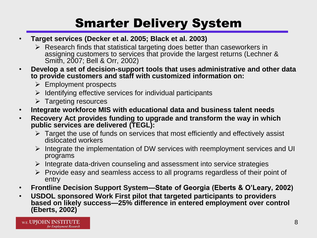## Smarter Delivery System

- • **Target services (Decker et al. 2005; Black et al. 2003)** 
	- $\triangleright$  Research finds that statistical targeting does better than caseworkers in assigning customers to services that provide the largest returns (Lechner & Smith, 2007; Bell & Orr, 2002)
- **Develop a set of decision-support tools that uses administrative and other data to provide customers and staff with customized information on:** 
	- $\triangleright$  Employment prospects
	- $\triangleright$  Identifying effective services for individual participants
	- $\triangleright$  Targeting resources
- Integrate workforce MIS with educational data and business talent needs
- **Becovery Act provides funding to upgrade and transform the way in which public services are delivered (TEGL):** 
	- $\triangleright$  Target the use of funds on services that most efficiently and effectively assist dislocated workers
	- $\triangleright$  Integrate the implementation of DW services with reemployment services and UI programs
	- $\triangleright$  Integrate data-driven counseling and assessment into service strategies
	- $\triangleright$  Provide easy and seamless access to all programs regardless of their point of entry
- • **Frontline Decision Support System—State of Georgia (Eberts & O'Leary, 2002)**
- • **USDOL sponsored Work First pilot that targeted participants to providers based on likely success—25% difference in entered employment over control (Eberts, 2002)**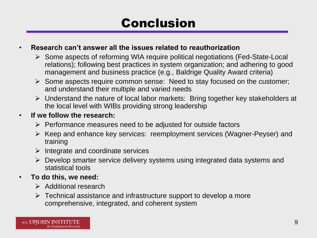### Conclusion

#### • **Research can't answer all the issues related to reauthorization**

- Some aspects of reforming WIA require political negotiations (Fed-State-Local relations); following best practices in system organization; and adhering to good management and business practice (e.g., Baldrige Quality Award criteria)
- and understand their multiple and varied needs  $\triangleright$  Some aspects require common sense: Need to stay focused on the customer;
- the local level with WIBs providing strong leadership Understand the nature of local labor markets: Bring together key stakeholders at

#### • **If we follow the research:**

- $\triangleright$  Performance measures need to be adjusted for outside factors
- $\triangleright$  Keep and enhance key services: reemployment services (Wagner-Peyser) and training
- $\triangleright$  Integrate and coordinate services
- Develop smarter service delivery systems using integrated data systems and statistical tools
- **To do this, we need:** 
	- $\triangleright$  Additional research
	- $\triangleright$  Technical assistance and infrastructure support to develop a more comprehensive, integrated, and coherent system